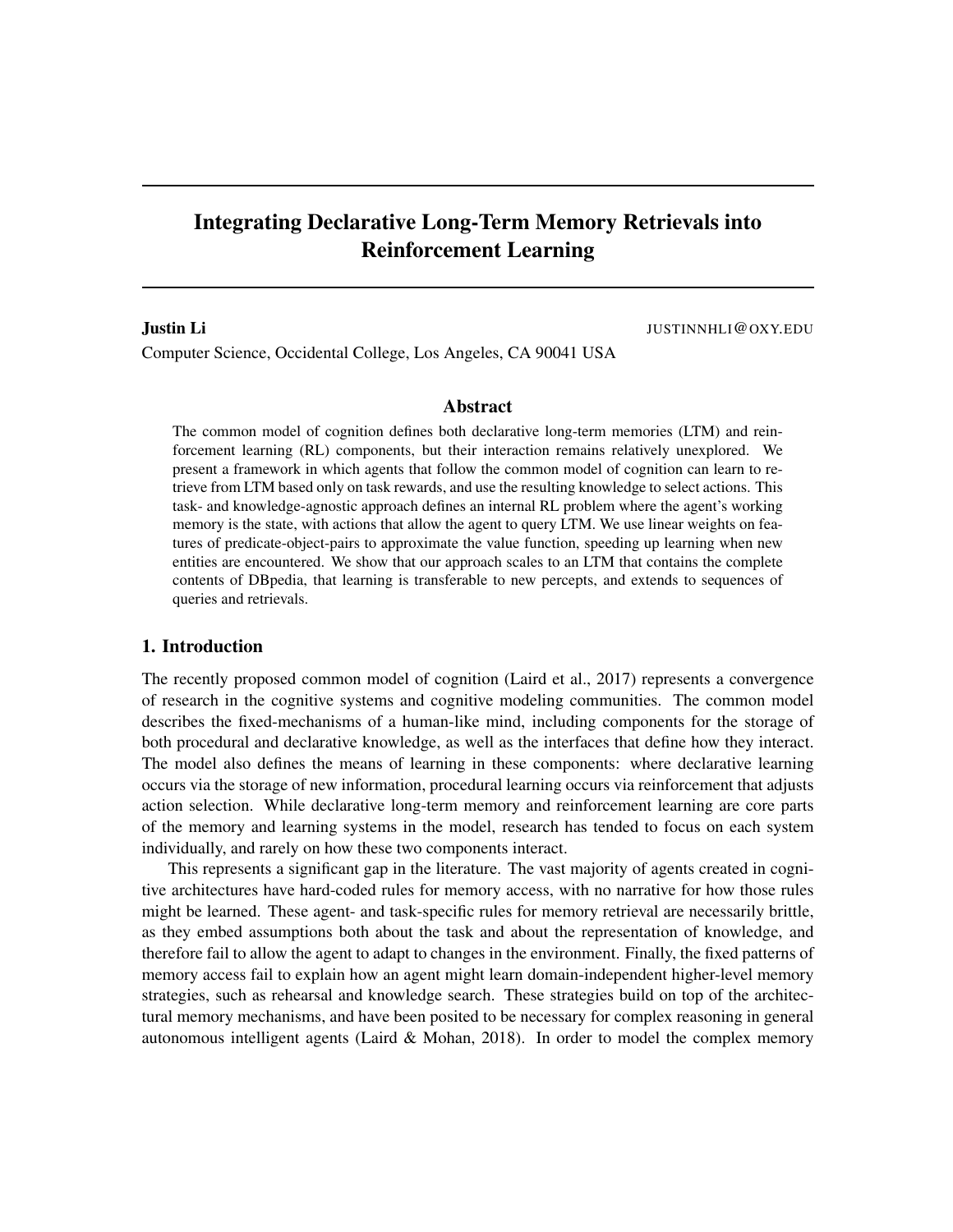# Integrating Declarative Long-Term Memory Retrievals into Reinforcement Learning

Justin Li Justin Li Justin Li Justin Li Justin Li Justin Li Justin Li Justin Li Justin Li Justin Li Justin Li Justin Li Justin Li Justin Li Justin Li Justin Li Justin Li Justin Li Justin Li Justin Li Justin Li Justin Li Ju

Computer Science, Occidental College, Los Angeles, CA 90041 USA

#### Abstract

The common model of cognition defines both declarative long-term memories (LTM) and reinforcement learning (RL) components, but their interaction remains relatively unexplored. We present a framework in which agents that follow the common model of cognition can learn to retrieve from LTM based only on task rewards, and use the resulting knowledge to select actions. This task- and knowledge-agnostic approach defines an internal RL problem where the agent's working memory is the state, with actions that allow the agent to query LTM. We use linear weights on features of predicate-object-pairs to approximate the value function, speeding up learning when new entities are encountered. We show that our approach scales to an LTM that contains the complete contents of DBpedia, that learning is transferable to new percepts, and extends to sequences of queries and retrievals.

## 1. Introduction

The recently proposed common model of cognition (Laird et al., 2017) represents a convergence of research in the cognitive systems and cognitive modeling communities. The common model describes the fixed-mechanisms of a human-like mind, including components for the storage of both procedural and declarative knowledge, as well as the interfaces that define how they interact. The model also defines the means of learning in these components: where declarative learning occurs via the storage of new information, procedural learning occurs via reinforcement that adjusts action selection. While declarative long-term memory and reinforcement learning are core parts of the memory and learning systems in the model, research has tended to focus on each system individually, and rarely on how these two components interact.

This represents a significant gap in the literature. The vast majority of agents created in cognitive architectures have hard-coded rules for memory access, with no narrative for how those rules might be learned. These agent- and task-specific rules for memory retrieval are necessarily brittle, as they embed assumptions both about the task and about the representation of knowledge, and therefore fail to allow the agent to adapt to changes in the environment. Finally, the fixed patterns of memory access fail to explain how an agent might learn domain-independent higher-level memory strategies, such as rehearsal and knowledge search. These strategies build on top of the architectural memory mechanisms, and have been posited to be necessary for complex reasoning in general autonomous intelligent agents (Laird  $&$  Mohan, 2018). In order to model the complex memory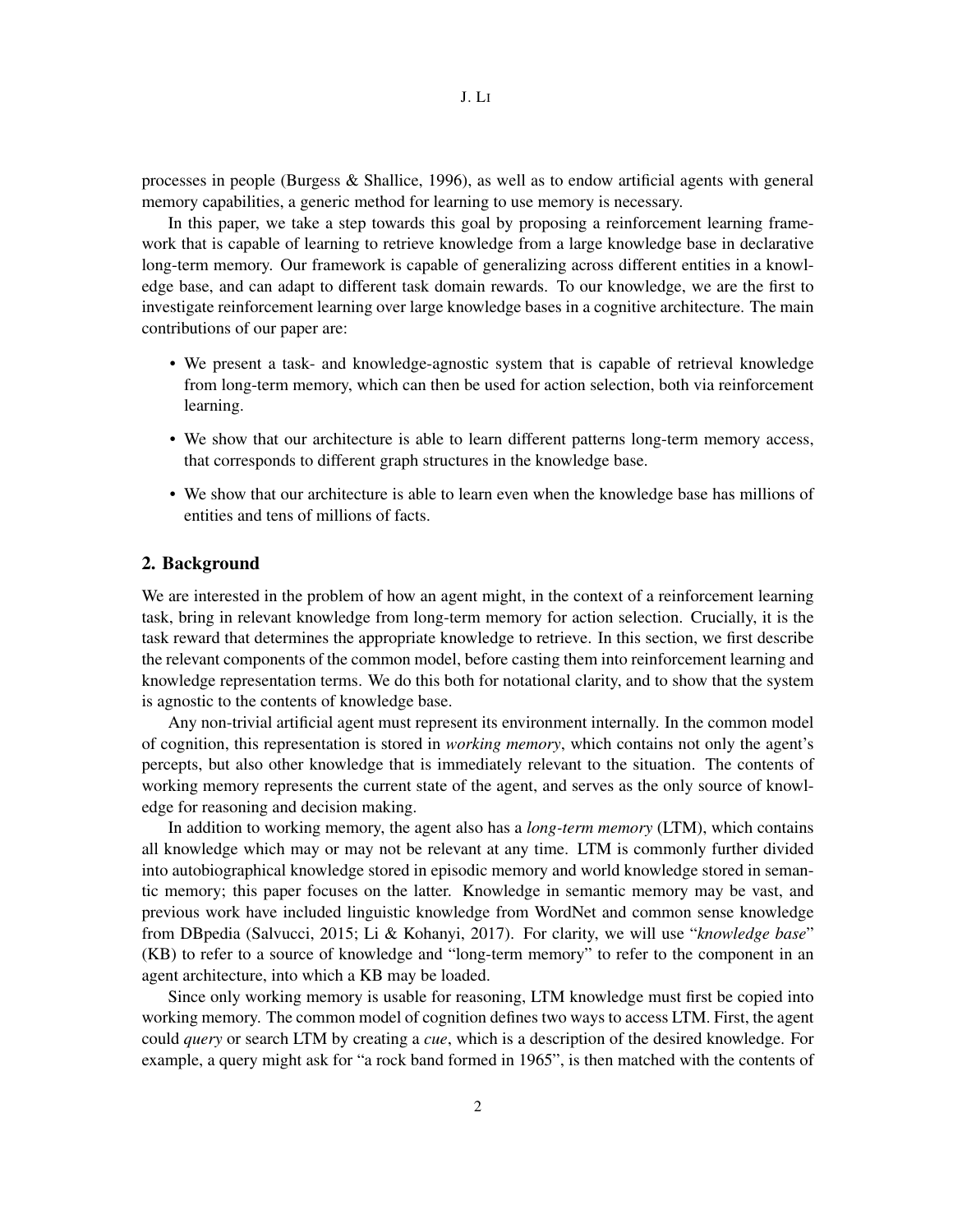processes in people (Burgess & Shallice, 1996), as well as to endow artificial agents with general memory capabilities, a generic method for learning to use memory is necessary.

In this paper, we take a step towards this goal by proposing a reinforcement learning framework that is capable of learning to retrieve knowledge from a large knowledge base in declarative long-term memory. Our framework is capable of generalizing across different entities in a knowledge base, and can adapt to different task domain rewards. To our knowledge, we are the first to investigate reinforcement learning over large knowledge bases in a cognitive architecture. The main contributions of our paper are:

- We present a task- and knowledge-agnostic system that is capable of retrieval knowledge from long-term memory, which can then be used for action selection, both via reinforcement learning.
- We show that our architecture is able to learn different patterns long-term memory access, that corresponds to different graph structures in the knowledge base.
- We show that our architecture is able to learn even when the knowledge base has millions of entities and tens of millions of facts.

## 2. Background

We are interested in the problem of how an agent might, in the context of a reinforcement learning task, bring in relevant knowledge from long-term memory for action selection. Crucially, it is the task reward that determines the appropriate knowledge to retrieve. In this section, we first describe the relevant components of the common model, before casting them into reinforcement learning and knowledge representation terms. We do this both for notational clarity, and to show that the system is agnostic to the contents of knowledge base.

Any non-trivial artificial agent must represent its environment internally. In the common model of cognition, this representation is stored in *working memory*, which contains not only the agent's percepts, but also other knowledge that is immediately relevant to the situation. The contents of working memory represents the current state of the agent, and serves as the only source of knowledge for reasoning and decision making.

In addition to working memory, the agent also has a *long-term memory* (LTM), which contains all knowledge which may or may not be relevant at any time. LTM is commonly further divided into autobiographical knowledge stored in episodic memory and world knowledge stored in semantic memory; this paper focuses on the latter. Knowledge in semantic memory may be vast, and previous work have included linguistic knowledge from WordNet and common sense knowledge from DBpedia (Salvucci, 2015; Li & Kohanyi, 2017). For clarity, we will use "*knowledge base*" (KB) to refer to a source of knowledge and "long-term memory" to refer to the component in an agent architecture, into which a KB may be loaded.

Since only working memory is usable for reasoning, LTM knowledge must first be copied into working memory. The common model of cognition defines two ways to access LTM. First, the agent could *query* or search LTM by creating a *cue*, which is a description of the desired knowledge. For example, a query might ask for "a rock band formed in 1965", is then matched with the contents of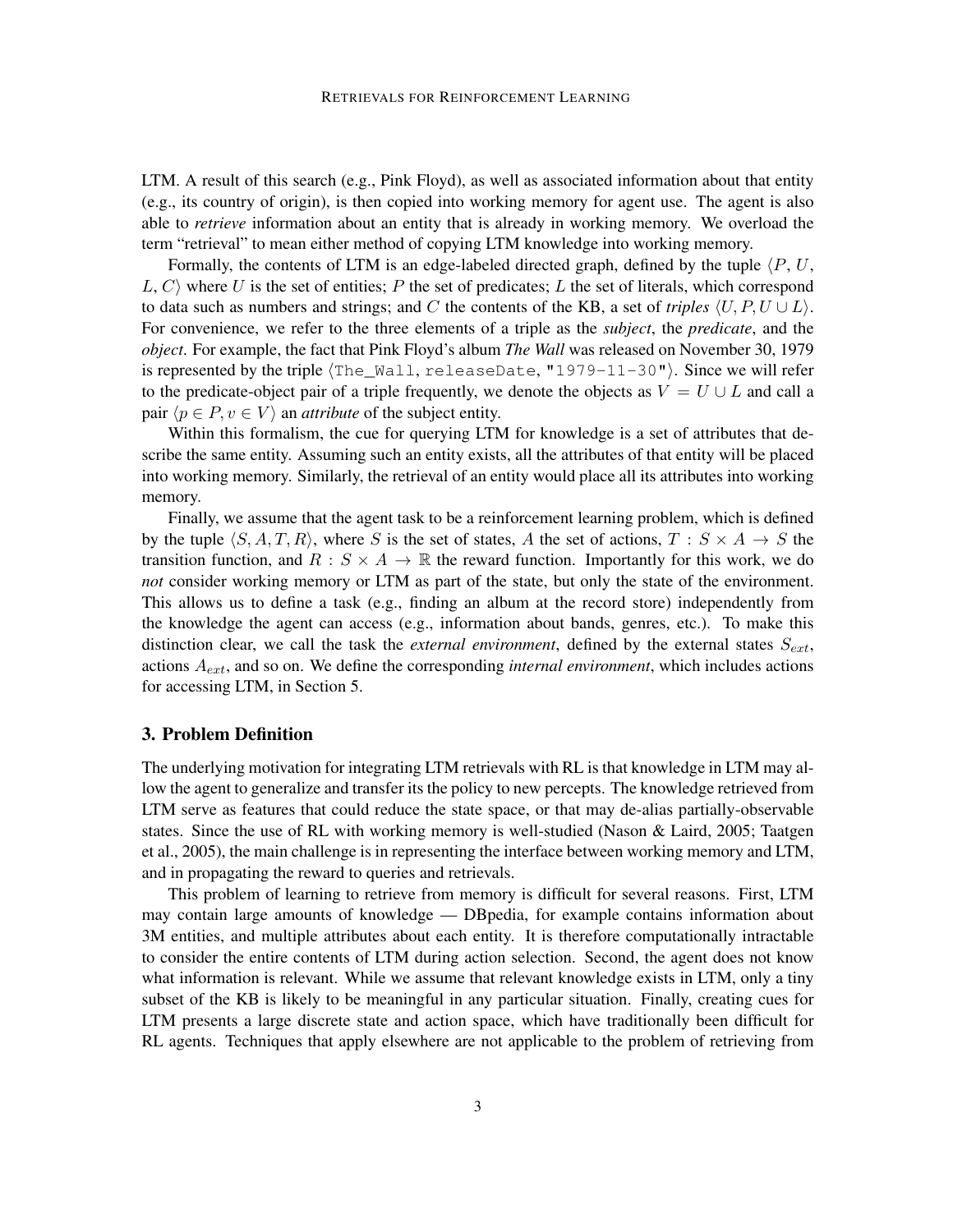LTM. A result of this search (e.g., Pink Floyd), as well as associated information about that entity (e.g., its country of origin), is then copied into working memory for agent use. The agent is also able to *retrieve* information about an entity that is already in working memory. We overload the term "retrieval" to mean either method of copying LTM knowledge into working memory.

Formally, the contents of LTM is an edge-labeled directed graph, defined by the tuple  $\langle P, U, \rangle$  $L, C$  where U is the set of entities; P the set of predicates; L the set of literals, which correspond to data such as numbers and strings; and C the contents of the KB, a set of *triples*  $\langle U, P, U \cup L \rangle$ . For convenience, we refer to the three elements of a triple as the *subject*, the *predicate*, and the *object*. For example, the fact that Pink Floyd's album *The Wall* was released on November 30, 1979 is represented by the triple  $\{The_{\text{Wall}},$  releaseDate, "1979-11-30"). Since we will refer to the predicate-object pair of a triple frequently, we denote the objects as  $V = U \cup L$  and call a pair  $\langle p \in P, v \in V \rangle$  an *attribute* of the subject entity.

Within this formalism, the cue for querying LTM for knowledge is a set of attributes that describe the same entity. Assuming such an entity exists, all the attributes of that entity will be placed into working memory. Similarly, the retrieval of an entity would place all its attributes into working memory.

Finally, we assume that the agent task to be a reinforcement learning problem, which is defined by the tuple  $\langle S, A, T, R \rangle$ , where S is the set of states, A the set of actions,  $T : S \times A \rightarrow S$  the transition function, and  $R : S \times A \rightarrow \mathbb{R}$  the reward function. Importantly for this work, we do *not* consider working memory or LTM as part of the state, but only the state of the environment. This allows us to define a task (e.g., finding an album at the record store) independently from the knowledge the agent can access (e.g., information about bands, genres, etc.). To make this distinction clear, we call the task the *external environment*, defined by the external states  $S_{ext}$ , actions Aext, and so on. We define the corresponding *internal environment*, which includes actions for accessing LTM, in Section 5.

#### 3. Problem Definition

The underlying motivation for integrating LTM retrievals with RL is that knowledge in LTM may allow the agent to generalize and transfer its the policy to new percepts. The knowledge retrieved from LTM serve as features that could reduce the state space, or that may de-alias partially-observable states. Since the use of RL with working memory is well-studied (Nason & Laird, 2005; Taatgen et al., 2005), the main challenge is in representing the interface between working memory and LTM, and in propagating the reward to queries and retrievals.

This problem of learning to retrieve from memory is difficult for several reasons. First, LTM may contain large amounts of knowledge — DBpedia, for example contains information about 3M entities, and multiple attributes about each entity. It is therefore computationally intractable to consider the entire contents of LTM during action selection. Second, the agent does not know what information is relevant. While we assume that relevant knowledge exists in LTM, only a tiny subset of the KB is likely to be meaningful in any particular situation. Finally, creating cues for LTM presents a large discrete state and action space, which have traditionally been difficult for RL agents. Techniques that apply elsewhere are not applicable to the problem of retrieving from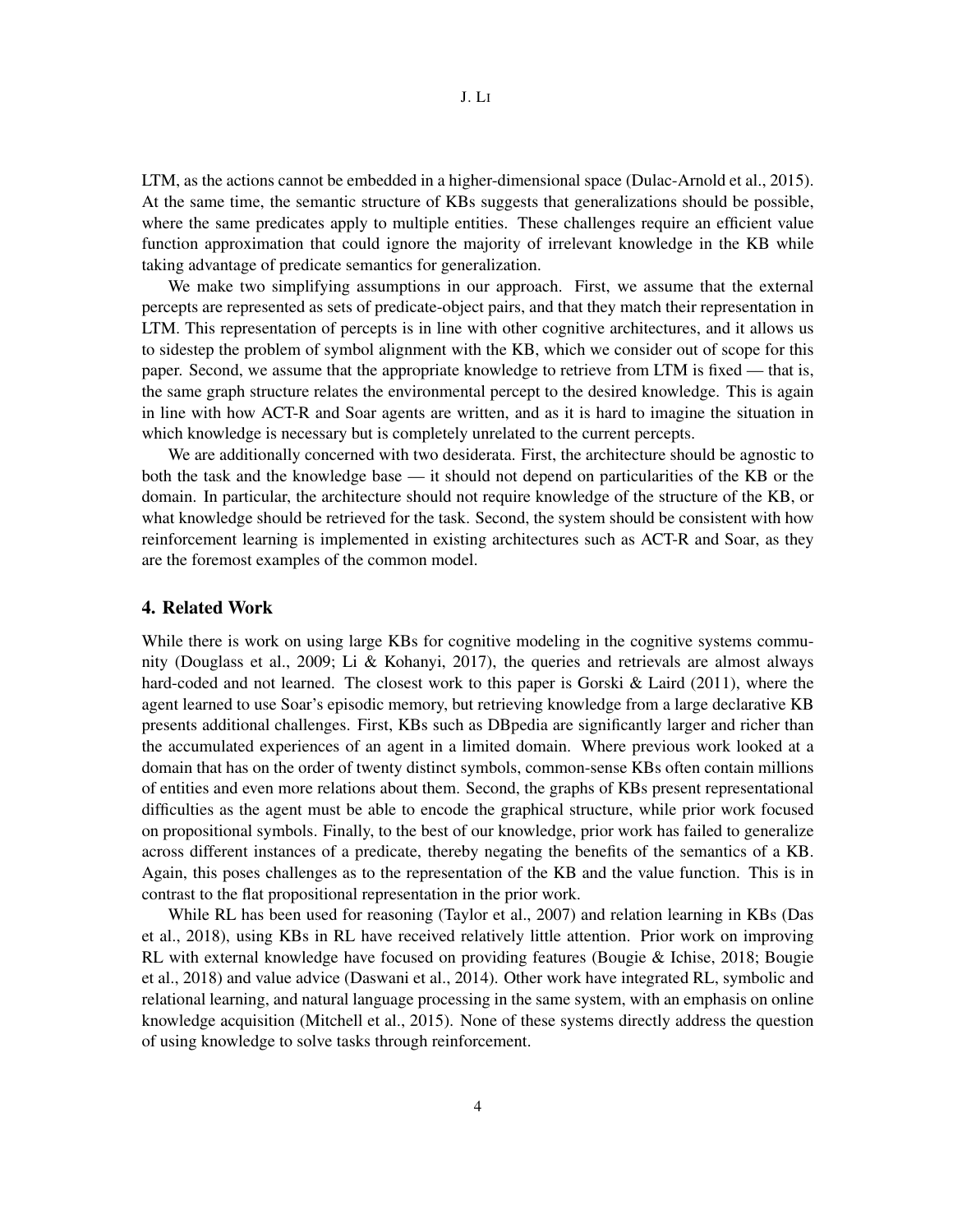LTM, as the actions cannot be embedded in a higher-dimensional space (Dulac-Arnold et al., 2015). At the same time, the semantic structure of KBs suggests that generalizations should be possible, where the same predicates apply to multiple entities. These challenges require an efficient value function approximation that could ignore the majority of irrelevant knowledge in the KB while taking advantage of predicate semantics for generalization.

We make two simplifying assumptions in our approach. First, we assume that the external percepts are represented as sets of predicate-object pairs, and that they match their representation in LTM. This representation of percepts is in line with other cognitive architectures, and it allows us to sidestep the problem of symbol alignment with the KB, which we consider out of scope for this paper. Second, we assume that the appropriate knowledge to retrieve from LTM is fixed — that is, the same graph structure relates the environmental percept to the desired knowledge. This is again in line with how ACT-R and Soar agents are written, and as it is hard to imagine the situation in which knowledge is necessary but is completely unrelated to the current percepts.

We are additionally concerned with two desiderata. First, the architecture should be agnostic to both the task and the knowledge base — it should not depend on particularities of the KB or the domain. In particular, the architecture should not require knowledge of the structure of the KB, or what knowledge should be retrieved for the task. Second, the system should be consistent with how reinforcement learning is implemented in existing architectures such as ACT-R and Soar, as they are the foremost examples of the common model.

#### 4. Related Work

While there is work on using large KBs for cognitive modeling in the cognitive systems community (Douglass et al., 2009; Li & Kohanyi, 2017), the queries and retrievals are almost always hard-coded and not learned. The closest work to this paper is Gorski & Laird (2011), where the agent learned to use Soar's episodic memory, but retrieving knowledge from a large declarative KB presents additional challenges. First, KBs such as DBpedia are significantly larger and richer than the accumulated experiences of an agent in a limited domain. Where previous work looked at a domain that has on the order of twenty distinct symbols, common-sense KBs often contain millions of entities and even more relations about them. Second, the graphs of KBs present representational difficulties as the agent must be able to encode the graphical structure, while prior work focused on propositional symbols. Finally, to the best of our knowledge, prior work has failed to generalize across different instances of a predicate, thereby negating the benefits of the semantics of a KB. Again, this poses challenges as to the representation of the KB and the value function. This is in contrast to the flat propositional representation in the prior work.

While RL has been used for reasoning (Taylor et al., 2007) and relation learning in KBs (Das et al., 2018), using KBs in RL have received relatively little attention. Prior work on improving RL with external knowledge have focused on providing features (Bougie & Ichise, 2018; Bougie et al., 2018) and value advice (Daswani et al., 2014). Other work have integrated RL, symbolic and relational learning, and natural language processing in the same system, with an emphasis on online knowledge acquisition (Mitchell et al., 2015). None of these systems directly address the question of using knowledge to solve tasks through reinforcement.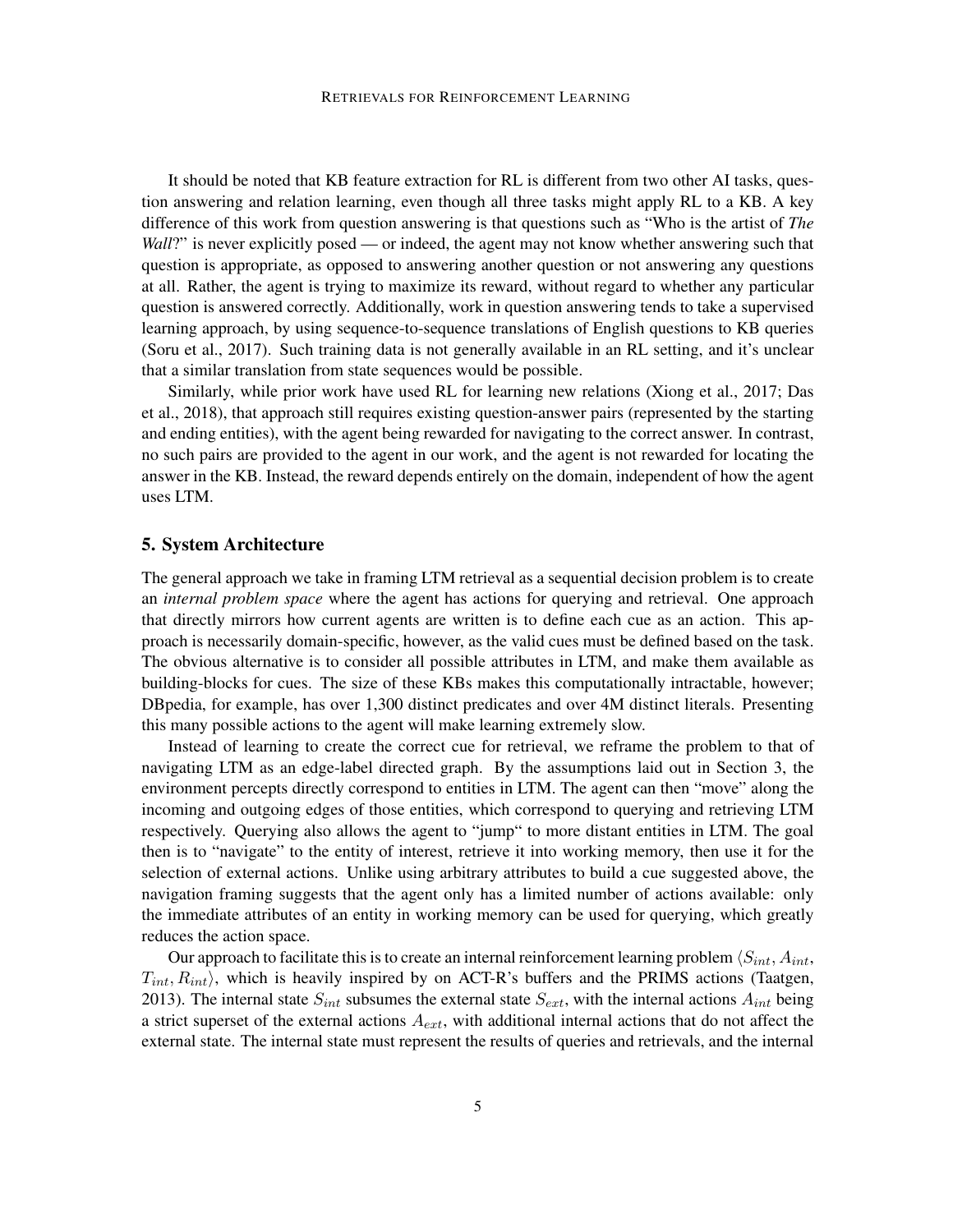It should be noted that KB feature extraction for RL is different from two other AI tasks, question answering and relation learning, even though all three tasks might apply RL to a KB. A key difference of this work from question answering is that questions such as "Who is the artist of *The Wall*?" is never explicitly posed — or indeed, the agent may not know whether answering such that question is appropriate, as opposed to answering another question or not answering any questions at all. Rather, the agent is trying to maximize its reward, without regard to whether any particular question is answered correctly. Additionally, work in question answering tends to take a supervised learning approach, by using sequence-to-sequence translations of English questions to KB queries (Soru et al., 2017). Such training data is not generally available in an RL setting, and it's unclear that a similar translation from state sequences would be possible.

Similarly, while prior work have used RL for learning new relations (Xiong et al., 2017; Das et al., 2018), that approach still requires existing question-answer pairs (represented by the starting and ending entities), with the agent being rewarded for navigating to the correct answer. In contrast, no such pairs are provided to the agent in our work, and the agent is not rewarded for locating the answer in the KB. Instead, the reward depends entirely on the domain, independent of how the agent uses LTM.

#### 5. System Architecture

The general approach we take in framing LTM retrieval as a sequential decision problem is to create an *internal problem space* where the agent has actions for querying and retrieval. One approach that directly mirrors how current agents are written is to define each cue as an action. This approach is necessarily domain-specific, however, as the valid cues must be defined based on the task. The obvious alternative is to consider all possible attributes in LTM, and make them available as building-blocks for cues. The size of these KBs makes this computationally intractable, however; DBpedia, for example, has over 1,300 distinct predicates and over 4M distinct literals. Presenting this many possible actions to the agent will make learning extremely slow.

Instead of learning to create the correct cue for retrieval, we reframe the problem to that of navigating LTM as an edge-label directed graph. By the assumptions laid out in Section 3, the environment percepts directly correspond to entities in LTM. The agent can then "move" along the incoming and outgoing edges of those entities, which correspond to querying and retrieving LTM respectively. Querying also allows the agent to "jump" to more distant entities in LTM. The goal then is to "navigate" to the entity of interest, retrieve it into working memory, then use it for the selection of external actions. Unlike using arbitrary attributes to build a cue suggested above, the navigation framing suggests that the agent only has a limited number of actions available: only the immediate attributes of an entity in working memory can be used for querying, which greatly reduces the action space.

Our approach to facilitate this is to create an internal reinforcement learning problem  $\langle S_{int}, A_{int}, \rangle$  $T_{int}, R_{int}$ ), which is heavily inspired by on ACT-R's buffers and the PRIMS actions (Taatgen, 2013). The internal state  $S_{int}$  subsumes the external state  $S_{ext}$ , with the internal actions  $A_{int}$  being a strict superset of the external actions  $A_{ext}$ , with additional internal actions that do not affect the external state. The internal state must represent the results of queries and retrievals, and the internal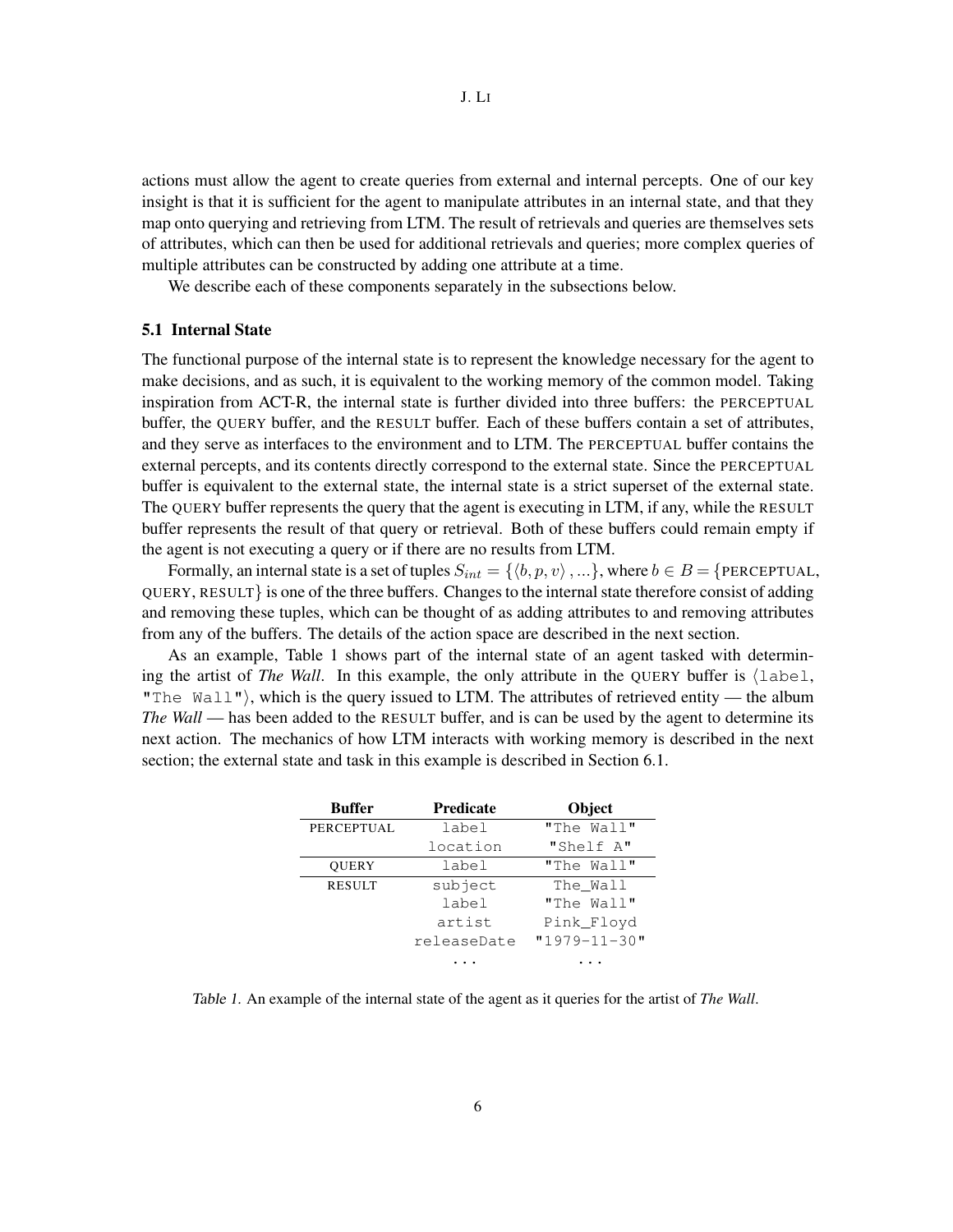actions must allow the agent to create queries from external and internal percepts. One of our key insight is that it is sufficient for the agent to manipulate attributes in an internal state, and that they map onto querying and retrieving from LTM. The result of retrievals and queries are themselves sets of attributes, which can then be used for additional retrievals and queries; more complex queries of multiple attributes can be constructed by adding one attribute at a time.

We describe each of these components separately in the subsections below.

#### 5.1 Internal State

The functional purpose of the internal state is to represent the knowledge necessary for the agent to make decisions, and as such, it is equivalent to the working memory of the common model. Taking inspiration from ACT-R, the internal state is further divided into three buffers: the PERCEPTUAL buffer, the QUERY buffer, and the RESULT buffer. Each of these buffers contain a set of attributes, and they serve as interfaces to the environment and to LTM. The PERCEPTUAL buffer contains the external percepts, and its contents directly correspond to the external state. Since the PERCEPTUAL buffer is equivalent to the external state, the internal state is a strict superset of the external state. The QUERY buffer represents the query that the agent is executing in LTM, if any, while the RESULT buffer represents the result of that query or retrieval. Both of these buffers could remain empty if the agent is not executing a query or if there are no results from LTM.

Formally, an internal state is a set of tuples  $S_{int} = \{ \langle b, p, v \rangle, \ldots \}$ , where  $b \in B = \{$  PERCEPTUAL, QUERY, RESULT} is one of the three buffers. Changes to the internal state therefore consist of adding and removing these tuples, which can be thought of as adding attributes to and removing attributes from any of the buffers. The details of the action space are described in the next section.

As an example, Table 1 shows part of the internal state of an agent tasked with determining the artist of *The Wall*. In this example, the only attribute in the QUERY buffer is  $\{\text{label},\}$ "The  $Wall$ "), which is the query issued to LTM. The attributes of retrieved entity — the album *The Wall* — has been added to the RESULT buffer, and is can be used by the agent to determine its next action. The mechanics of how LTM interacts with working memory is described in the next section; the external state and task in this example is described in Section 6.1.

| <b>Buffer</b>     | <b>Predicate</b> | <b>Object</b>      |
|-------------------|------------------|--------------------|
| <b>PERCEPTUAL</b> | label            | "The Wall"         |
|                   | location         | "Shelf A"          |
| <b>OUERY</b>      | label            | "The Wall"         |
| <b>RESULT</b>     | subject          | The Wall           |
|                   | label            | "The Wall"         |
|                   | artist           | Pink Floyd         |
|                   | releaseDate      | $"1979 - 11 - 30"$ |
|                   |                  |                    |

Table 1. An example of the internal state of the agent as it queries for the artist of *The Wall*.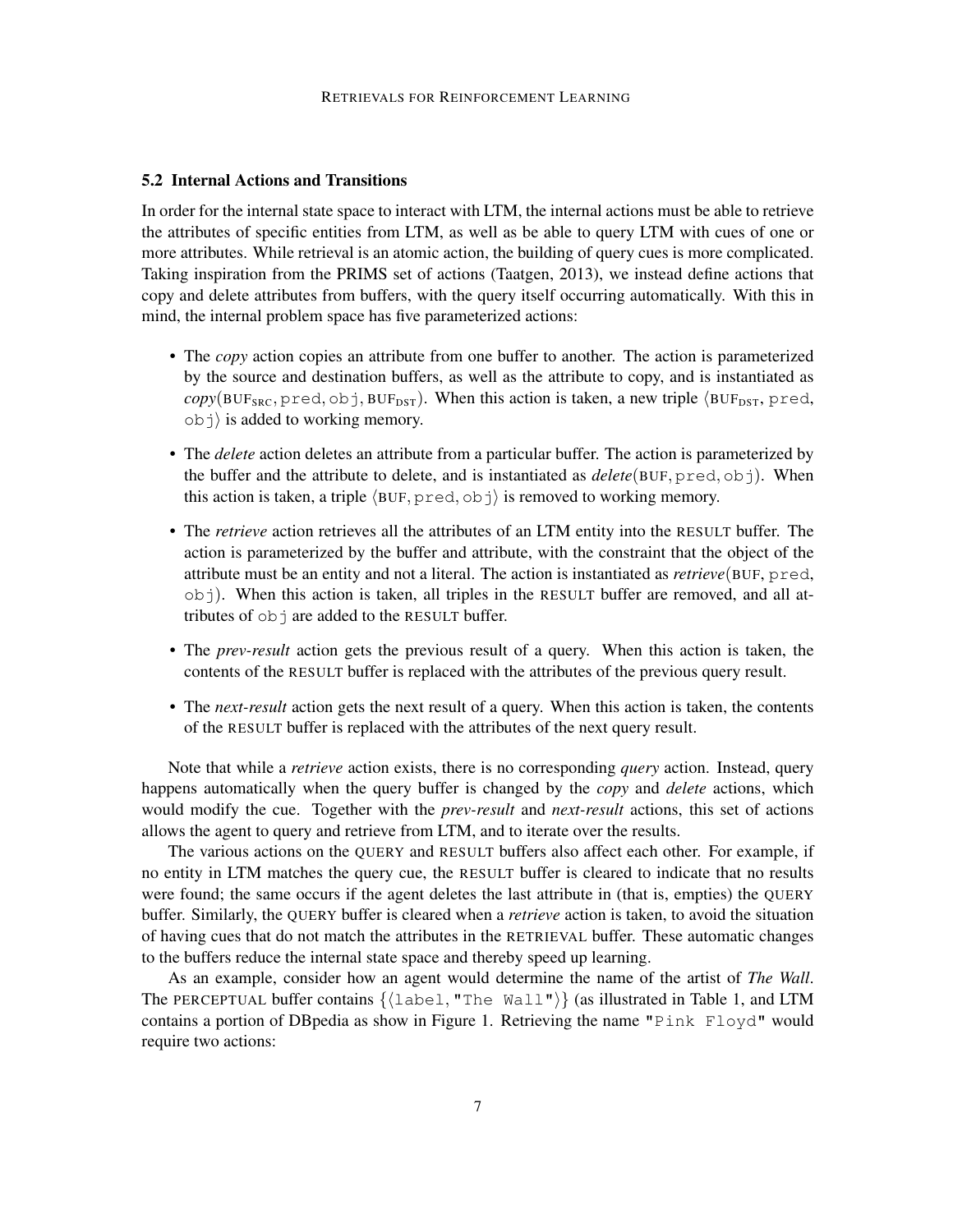#### 5.2 Internal Actions and Transitions

In order for the internal state space to interact with LTM, the internal actions must be able to retrieve the attributes of specific entities from LTM, as well as be able to query LTM with cues of one or more attributes. While retrieval is an atomic action, the building of query cues is more complicated. Taking inspiration from the PRIMS set of actions (Taatgen, 2013), we instead define actions that copy and delete attributes from buffers, with the query itself occurring automatically. With this in mind, the internal problem space has five parameterized actions:

- The *copy* action copies an attribute from one buffer to another. The action is parameterized by the source and destination buffers, as well as the attribute to copy, and is instantiated as  $copy(BUF_{SRC}, pred, obj, BUF_{DST})$ . When this action is taken, a new triple  $\langle BUF_{DST}, pred,$  $\vert$  ob  $\vert$  is added to working memory.
- The *delete* action deletes an attribute from a particular buffer. The action is parameterized by the buffer and the attribute to delete, and is instantiated as *delete*(BUF, pred, obj). When this action is taken, a triple  $\langle BUF, pred, ob \rangle$  is removed to working memory.
- The *retrieve* action retrieves all the attributes of an LTM entity into the RESULT buffer. The action is parameterized by the buffer and attribute, with the constraint that the object of the attribute must be an entity and not a literal. The action is instantiated as *retrieve*(BUF, pred,  $\phi$ , When this action is taken, all triples in the RESULT buffer are removed, and all attributes of  $ob$  are added to the RESULT buffer.
- The *prev-result* action gets the previous result of a query. When this action is taken, the contents of the RESULT buffer is replaced with the attributes of the previous query result.
- The *next-result* action gets the next result of a query. When this action is taken, the contents of the RESULT buffer is replaced with the attributes of the next query result.

Note that while a *retrieve* action exists, there is no corresponding *query* action. Instead, query happens automatically when the query buffer is changed by the *copy* and *delete* actions, which would modify the cue. Together with the *prev-result* and *next-result* actions, this set of actions allows the agent to query and retrieve from LTM, and to iterate over the results.

The various actions on the QUERY and RESULT buffers also affect each other. For example, if no entity in LTM matches the query cue, the RESULT buffer is cleared to indicate that no results were found; the same occurs if the agent deletes the last attribute in (that is, empties) the QUERY buffer. Similarly, the QUERY buffer is cleared when a *retrieve* action is taken, to avoid the situation of having cues that do not match the attributes in the RETRIEVAL buffer. These automatic changes to the buffers reduce the internal state space and thereby speed up learning.

As an example, consider how an agent would determine the name of the artist of *The Wall*. The PERCEPTUAL buffer contains  $\{\lambda \in \mathbb{R}^n : \lambda \in \mathbb{R}^n : \lambda \in \mathbb{R}^n : \lambda \neq \emptyset\}$  (as illustrated in Table 1, and LTM contains a portion of DBpedia as show in Figure 1. Retrieving the name "Pink Floyd" would require two actions: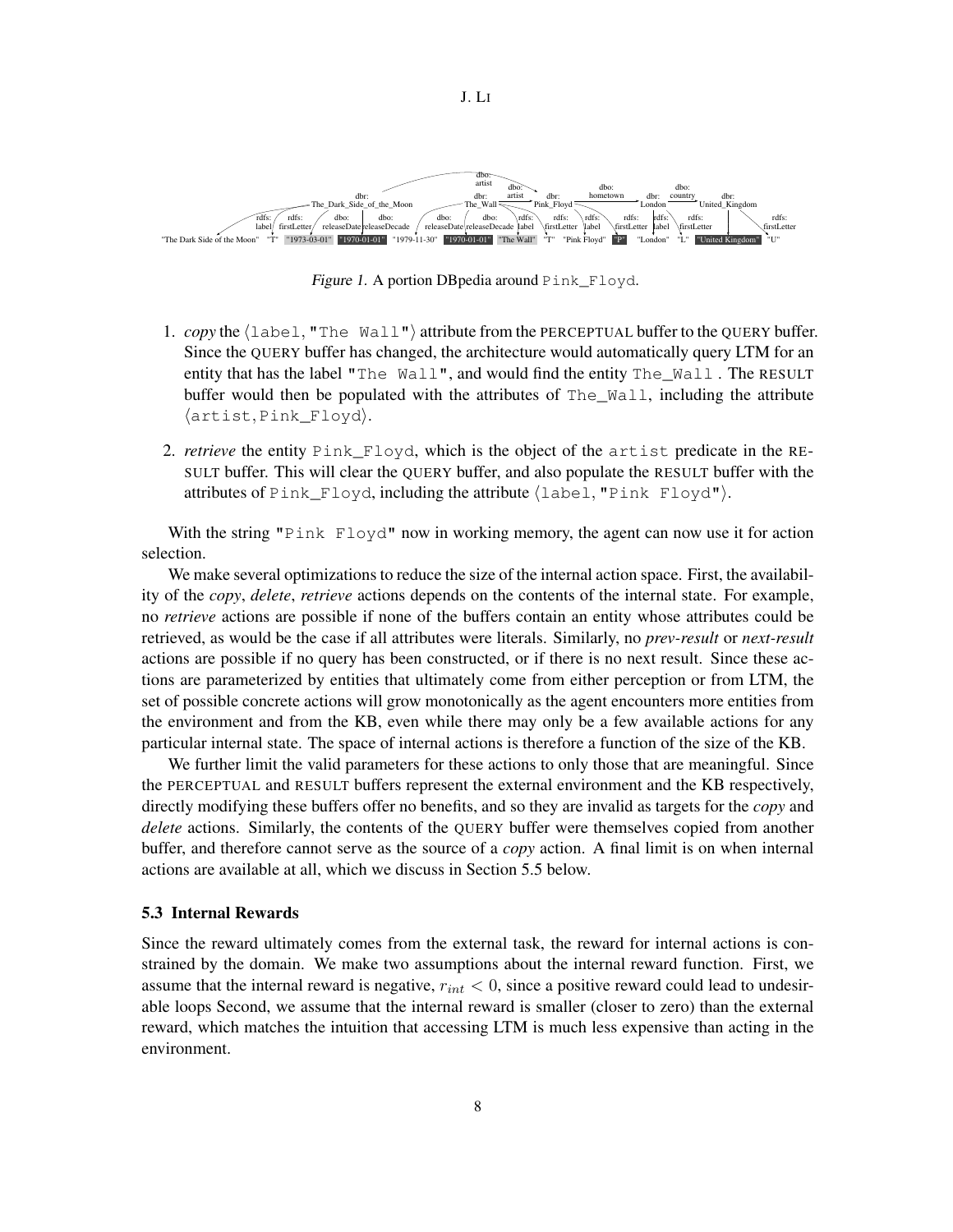

Figure 1. A portion DBpedia around Pink\_Floyd.

- 1. *copy* the  $\langle$ label, "The Wall" $\rangle$  attribute from the PERCEPTUAL buffer to the QUERY buffer. Since the QUERY buffer has changed, the architecture would automatically query LTM for an entity that has the label "The Wall", and would find the entity The\_Wall . The RESULT buffer would then be populated with the attributes of The Wall, including the attribute  $\langle$ artist, Pink\_Floyd $\rangle$ .
- 2. *retrieve* the entity Pink\_Floyd, which is the object of the artist predicate in the RE-SULT buffer. This will clear the QUERY buffer, and also populate the RESULT buffer with the attributes of  $\text{Pink\_Floyd}$ , including the attribute  $\langle \text{label}, \text{Tlink}$   $\text{Floyd}$ ").

With the string "Pink Floyd" now in working memory, the agent can now use it for action selection.

We make several optimizations to reduce the size of the internal action space. First, the availability of the *copy*, *delete*, *retrieve* actions depends on the contents of the internal state. For example, no *retrieve* actions are possible if none of the buffers contain an entity whose attributes could be retrieved, as would be the case if all attributes were literals. Similarly, no *prev-result* or *next-result* actions are possible if no query has been constructed, or if there is no next result. Since these actions are parameterized by entities that ultimately come from either perception or from LTM, the set of possible concrete actions will grow monotonically as the agent encounters more entities from the environment and from the KB, even while there may only be a few available actions for any particular internal state. The space of internal actions is therefore a function of the size of the KB.

We further limit the valid parameters for these actions to only those that are meaningful. Since the PERCEPTUAL and RESULT buffers represent the external environment and the KB respectively, directly modifying these buffers offer no benefits, and so they are invalid as targets for the *copy* and *delete* actions. Similarly, the contents of the QUERY buffer were themselves copied from another buffer, and therefore cannot serve as the source of a *copy* action. A final limit is on when internal actions are available at all, which we discuss in Section 5.5 below.

#### 5.3 Internal Rewards

Since the reward ultimately comes from the external task, the reward for internal actions is constrained by the domain. We make two assumptions about the internal reward function. First, we assume that the internal reward is negative,  $r_{int} < 0$ , since a positive reward could lead to undesirable loops Second, we assume that the internal reward is smaller (closer to zero) than the external reward, which matches the intuition that accessing LTM is much less expensive than acting in the environment.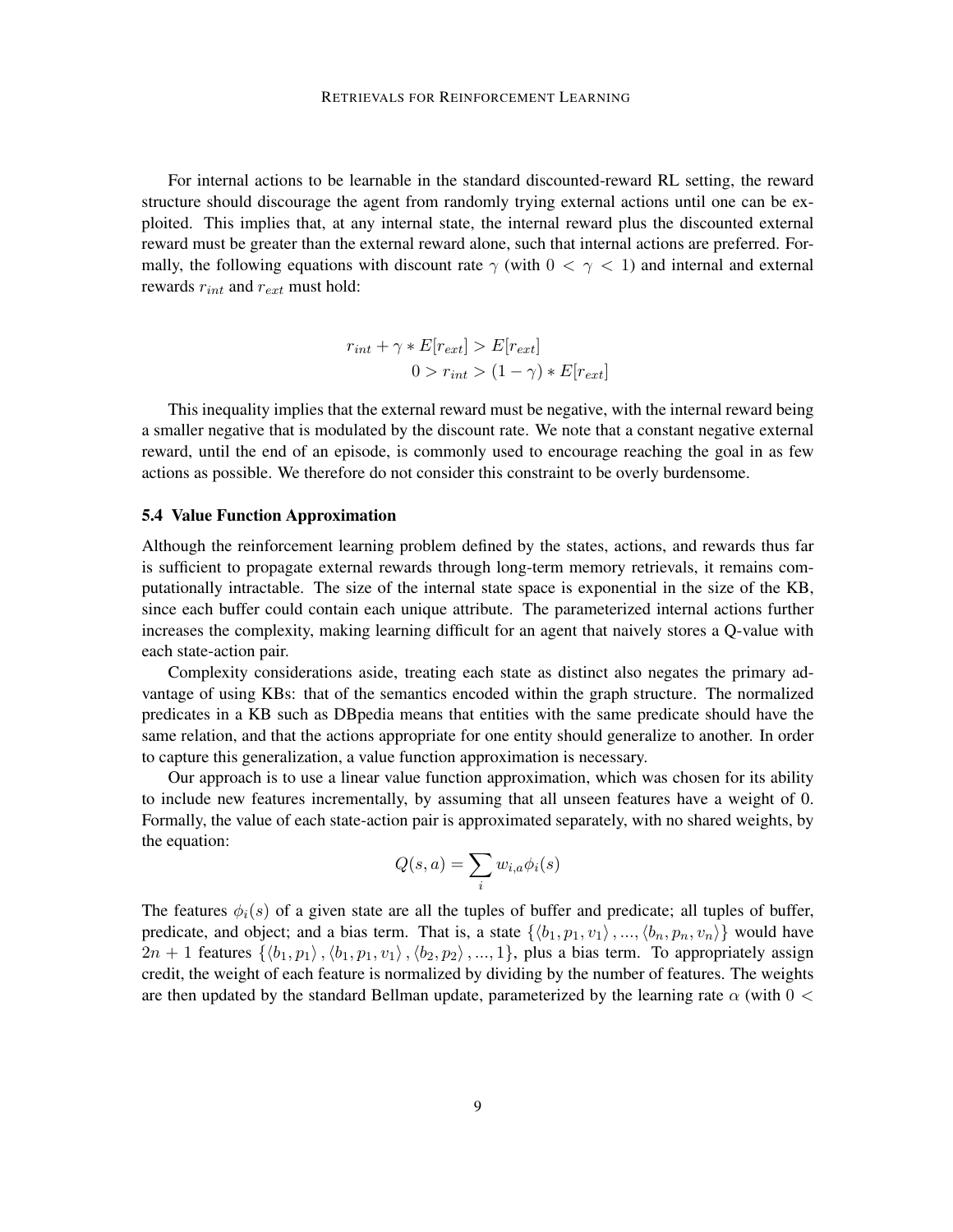For internal actions to be learnable in the standard discounted-reward RL setting, the reward structure should discourage the agent from randomly trying external actions until one can be exploited. This implies that, at any internal state, the internal reward plus the discounted external reward must be greater than the external reward alone, such that internal actions are preferred. Formally, the following equations with discount rate  $\gamma$  (with  $0 < \gamma < 1$ ) and internal and external rewards  $r_{int}$  and  $r_{ext}$  must hold:

$$
r_{int} + \gamma * E[r_{ext}] > E[r_{ext}]
$$
  
0 >  $r_{int}$  > (1 -  $\gamma$ ) \* E[r\_{ext}]

This inequality implies that the external reward must be negative, with the internal reward being a smaller negative that is modulated by the discount rate. We note that a constant negative external reward, until the end of an episode, is commonly used to encourage reaching the goal in as few actions as possible. We therefore do not consider this constraint to be overly burdensome.

#### 5.4 Value Function Approximation

Although the reinforcement learning problem defined by the states, actions, and rewards thus far is sufficient to propagate external rewards through long-term memory retrievals, it remains computationally intractable. The size of the internal state space is exponential in the size of the KB, since each buffer could contain each unique attribute. The parameterized internal actions further increases the complexity, making learning difficult for an agent that naively stores a Q-value with each state-action pair.

Complexity considerations aside, treating each state as distinct also negates the primary advantage of using KBs: that of the semantics encoded within the graph structure. The normalized predicates in a KB such as DBpedia means that entities with the same predicate should have the same relation, and that the actions appropriate for one entity should generalize to another. In order to capture this generalization, a value function approximation is necessary.

Our approach is to use a linear value function approximation, which was chosen for its ability to include new features incrementally, by assuming that all unseen features have a weight of 0. Formally, the value of each state-action pair is approximated separately, with no shared weights, by the equation:

$$
Q(s, a) = \sum_{i} w_{i, a} \phi_i(s)
$$

The features  $\phi_i(s)$  of a given state are all the tuples of buffer and predicate; all tuples of buffer, predicate, and object; and a bias term. That is, a state  $\{\langle b_1, p_1, v_1 \rangle, ..., \langle b_n, p_n, v_n \rangle\}$  would have  $2n + 1$  features  $\{\langle b_1, p_1 \rangle, \langle b_1, p_1, v_1 \rangle, \langle b_2, p_2 \rangle, ..., 1\}$ , plus a bias term. To appropriately assign credit, the weight of each feature is normalized by dividing by the number of features. The weights are then updated by the standard Bellman update, parameterized by the learning rate  $\alpha$  (with  $0 <$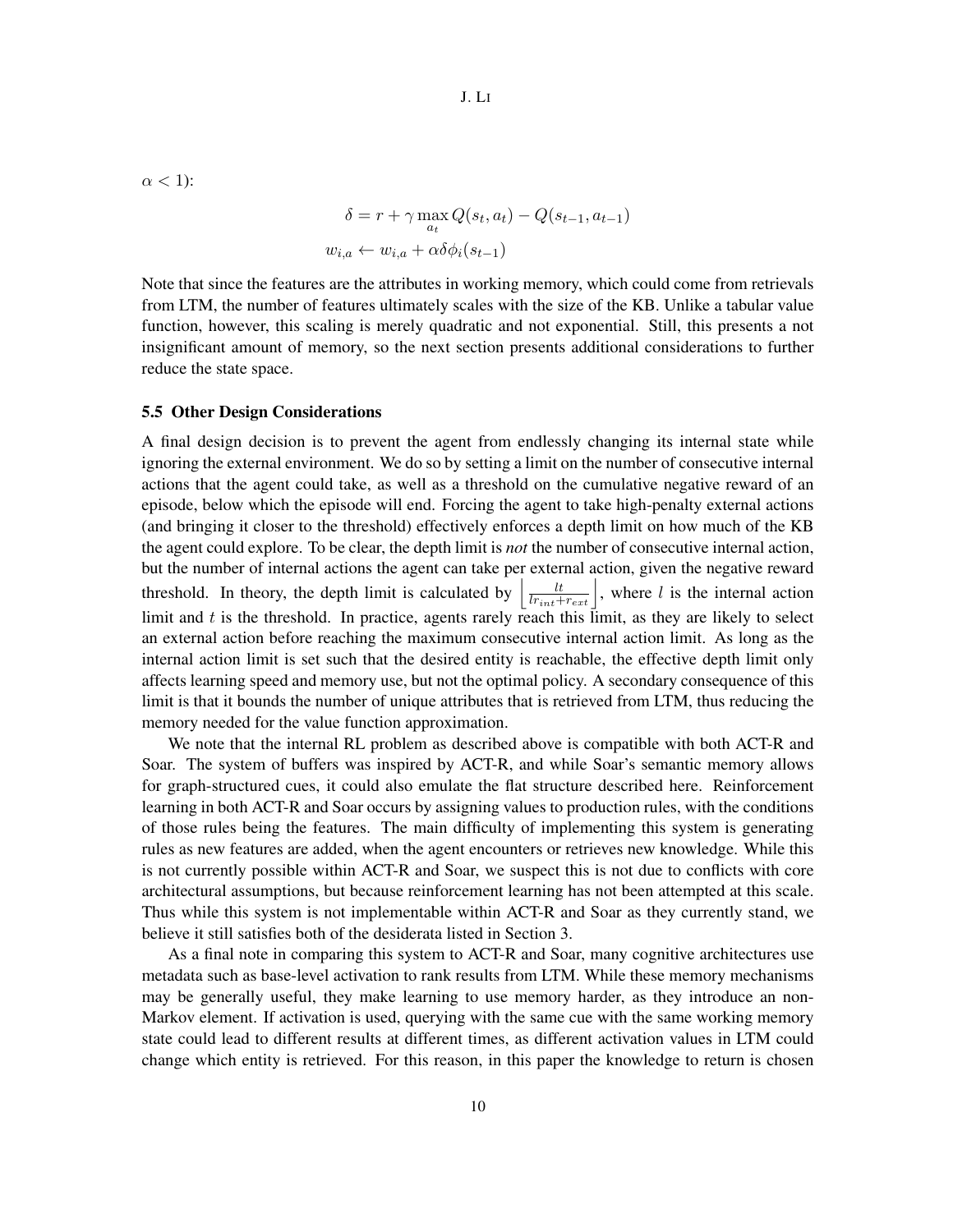$\alpha$  < 1):

$$
\delta = r + \gamma \max_{a_t} Q(s_t, a_t) - Q(s_{t-1}, a_{t-1})
$$
  

$$
w_{i,a} \leftarrow w_{i,a} + \alpha \delta \phi_i(s_{t-1})
$$

Note that since the features are the attributes in working memory, which could come from retrievals from LTM, the number of features ultimately scales with the size of the KB. Unlike a tabular value function, however, this scaling is merely quadratic and not exponential. Still, this presents a not insignificant amount of memory, so the next section presents additional considerations to further reduce the state space.

#### 5.5 Other Design Considerations

A final design decision is to prevent the agent from endlessly changing its internal state while ignoring the external environment. We do so by setting a limit on the number of consecutive internal actions that the agent could take, as well as a threshold on the cumulative negative reward of an episode, below which the episode will end. Forcing the agent to take high-penalty external actions (and bringing it closer to the threshold) effectively enforces a depth limit on how much of the KB the agent could explore. To be clear, the depth limit is *not* the number of consecutive internal action, but the number of internal actions the agent can take per external action, given the negative reward threshold. In theory, the depth limit is calculated by  $\left| \frac{lt}{lr_{int}+r_{ext}} \right|$ , where l is the internal action limit and  $t$  is the threshold. In practice, agents rarely reach this limit, as they are likely to select an external action before reaching the maximum consecutive internal action limit. As long as the internal action limit is set such that the desired entity is reachable, the effective depth limit only affects learning speed and memory use, but not the optimal policy. A secondary consequence of this limit is that it bounds the number of unique attributes that is retrieved from LTM, thus reducing the memory needed for the value function approximation.

We note that the internal RL problem as described above is compatible with both ACT-R and Soar. The system of buffers was inspired by ACT-R, and while Soar's semantic memory allows for graph-structured cues, it could also emulate the flat structure described here. Reinforcement learning in both ACT-R and Soar occurs by assigning values to production rules, with the conditions of those rules being the features. The main difficulty of implementing this system is generating rules as new features are added, when the agent encounters or retrieves new knowledge. While this is not currently possible within ACT-R and Soar, we suspect this is not due to conflicts with core architectural assumptions, but because reinforcement learning has not been attempted at this scale. Thus while this system is not implementable within ACT-R and Soar as they currently stand, we believe it still satisfies both of the desiderata listed in Section 3.

As a final note in comparing this system to ACT-R and Soar, many cognitive architectures use metadata such as base-level activation to rank results from LTM. While these memory mechanisms may be generally useful, they make learning to use memory harder, as they introduce an non-Markov element. If activation is used, querying with the same cue with the same working memory state could lead to different results at different times, as different activation values in LTM could change which entity is retrieved. For this reason, in this paper the knowledge to return is chosen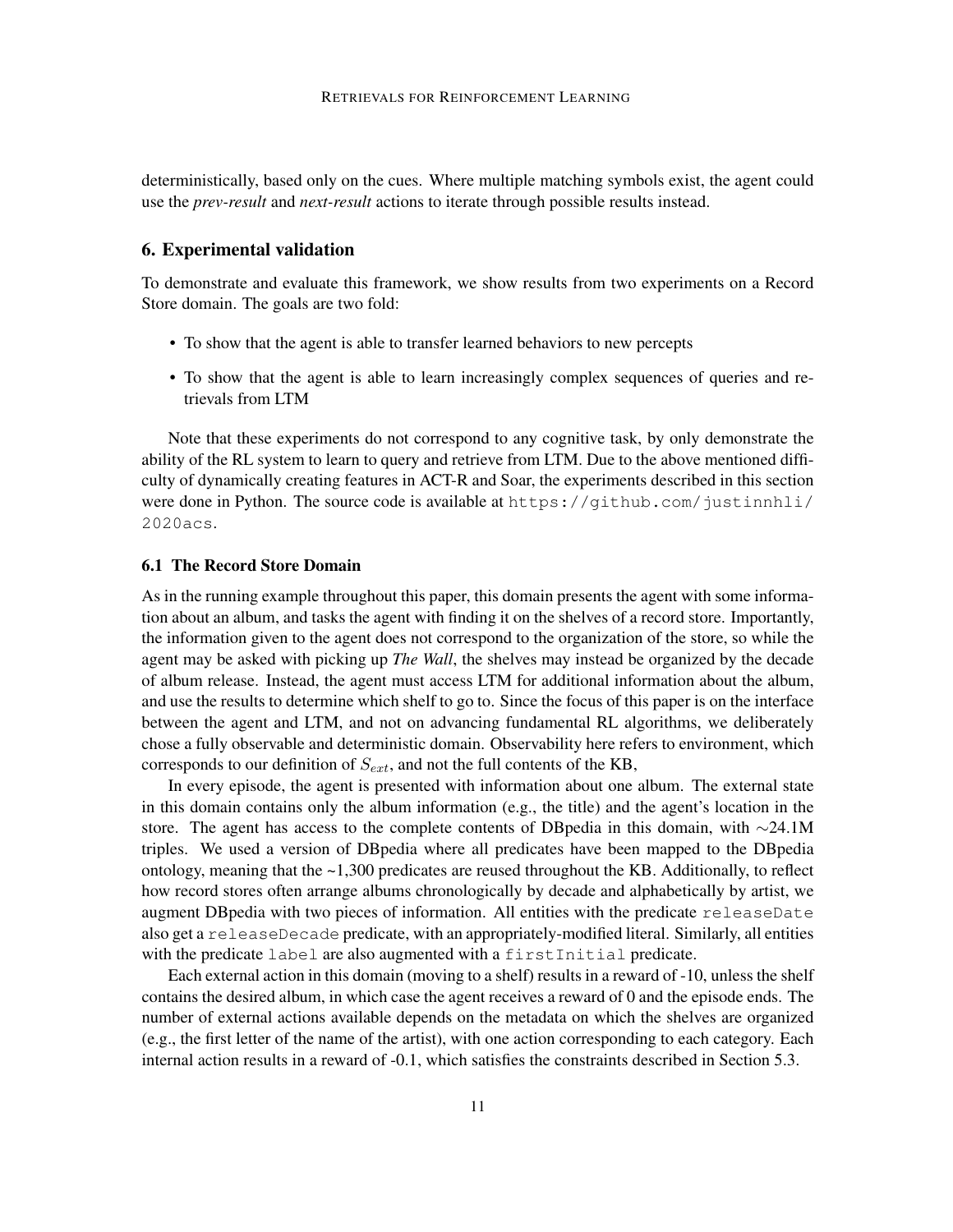deterministically, based only on the cues. Where multiple matching symbols exist, the agent could use the *prev-result* and *next-result* actions to iterate through possible results instead.

#### 6. Experimental validation

To demonstrate and evaluate this framework, we show results from two experiments on a Record Store domain. The goals are two fold:

- To show that the agent is able to transfer learned behaviors to new percepts
- To show that the agent is able to learn increasingly complex sequences of queries and retrievals from LTM

Note that these experiments do not correspond to any cognitive task, by only demonstrate the ability of the RL system to learn to query and retrieve from LTM. Due to the above mentioned difficulty of dynamically creating features in ACT-R and Soar, the experiments described in this section were done in Python. The source code is available at https://github.com/justinnhli/ 2020acs.

#### 6.1 The Record Store Domain

As in the running example throughout this paper, this domain presents the agent with some information about an album, and tasks the agent with finding it on the shelves of a record store. Importantly, the information given to the agent does not correspond to the organization of the store, so while the agent may be asked with picking up *The Wall*, the shelves may instead be organized by the decade of album release. Instead, the agent must access LTM for additional information about the album, and use the results to determine which shelf to go to. Since the focus of this paper is on the interface between the agent and LTM, and not on advancing fundamental RL algorithms, we deliberately chose a fully observable and deterministic domain. Observability here refers to environment, which corresponds to our definition of  $S_{ext}$ , and not the full contents of the KB,

In every episode, the agent is presented with information about one album. The external state in this domain contains only the album information (e.g., the title) and the agent's location in the store. The agent has access to the complete contents of DBpedia in this domain, with ∼24.1M triples. We used a version of DBpedia where all predicates have been mapped to the DBpedia ontology, meaning that the  $\sim$ 1,300 predicates are reused throughout the KB. Additionally, to reflect how record stores often arrange albums chronologically by decade and alphabetically by artist, we augment DBpedia with two pieces of information. All entities with the predicate releaseDate also get a releaseDecade predicate, with an appropriately-modified literal. Similarly, all entities with the predicate label are also augmented with a first Initial predicate.

Each external action in this domain (moving to a shelf) results in a reward of -10, unless the shelf contains the desired album, in which case the agent receives a reward of 0 and the episode ends. The number of external actions available depends on the metadata on which the shelves are organized (e.g., the first letter of the name of the artist), with one action corresponding to each category. Each internal action results in a reward of -0.1, which satisfies the constraints described in Section 5.3.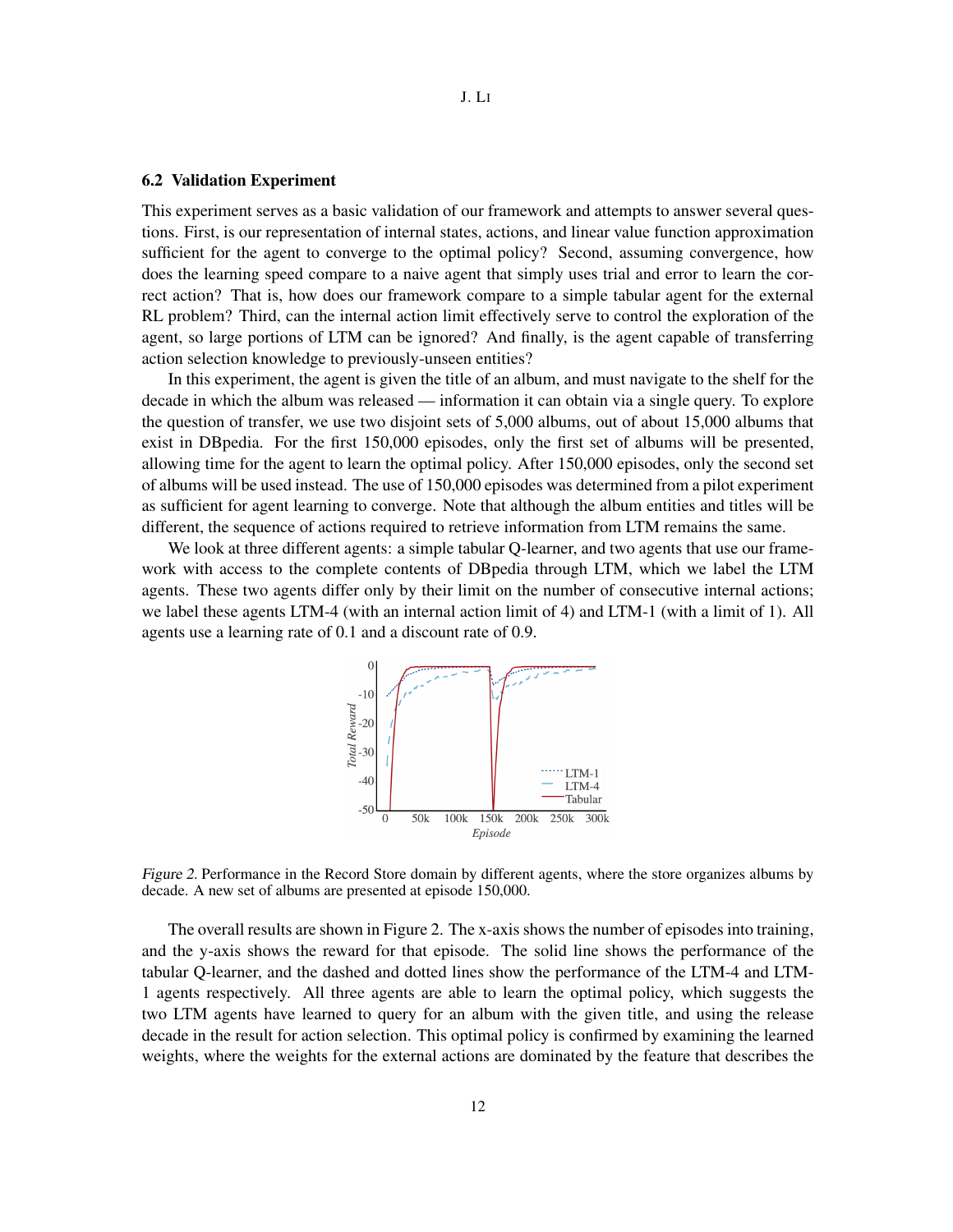#### J. LI

#### 6.2 Validation Experiment

This experiment serves as a basic validation of our framework and attempts to answer several questions. First, is our representation of internal states, actions, and linear value function approximation sufficient for the agent to converge to the optimal policy? Second, assuming convergence, how does the learning speed compare to a naive agent that simply uses trial and error to learn the correct action? That is, how does our framework compare to a simple tabular agent for the external RL problem? Third, can the internal action limit effectively serve to control the exploration of the agent, so large portions of LTM can be ignored? And finally, is the agent capable of transferring action selection knowledge to previously-unseen entities?

In this experiment, the agent is given the title of an album, and must navigate to the shelf for the decade in which the album was released — information it can obtain via a single query. To explore the question of transfer, we use two disjoint sets of 5,000 albums, out of about 15,000 albums that exist in DBpedia. For the first 150,000 episodes, only the first set of albums will be presented, allowing time for the agent to learn the optimal policy. After 150,000 episodes, only the second set of albums will be used instead. The use of 150,000 episodes was determined from a pilot experiment as sufficient for agent learning to converge. Note that although the album entities and titles will be different, the sequence of actions required to retrieve information from LTM remains the same.

We look at three different agents: a simple tabular Q-learner, and two agents that use our framework with access to the complete contents of DBpedia through LTM, which we label the LTM agents. These two agents differ only by their limit on the number of consecutive internal actions; we label these agents LTM-4 (with an internal action limit of 4) and LTM-1 (with a limit of 1). All agents use a learning rate of 0.1 and a discount rate of 0.9.



Figure 2. Performance in the Record Store domain by different agents, where the store organizes albums by decade. A new set of albums are presented at episode 150,000.

The overall results are shown in Figure 2. The x-axis shows the number of episodes into training, and the y-axis shows the reward for that episode. The solid line shows the performance of the tabular Q-learner, and the dashed and dotted lines show the performance of the LTM-4 and LTM-1 agents respectively. All three agents are able to learn the optimal policy, which suggests the two LTM agents have learned to query for an album with the given title, and using the release decade in the result for action selection. This optimal policy is confirmed by examining the learned weights, where the weights for the external actions are dominated by the feature that describes the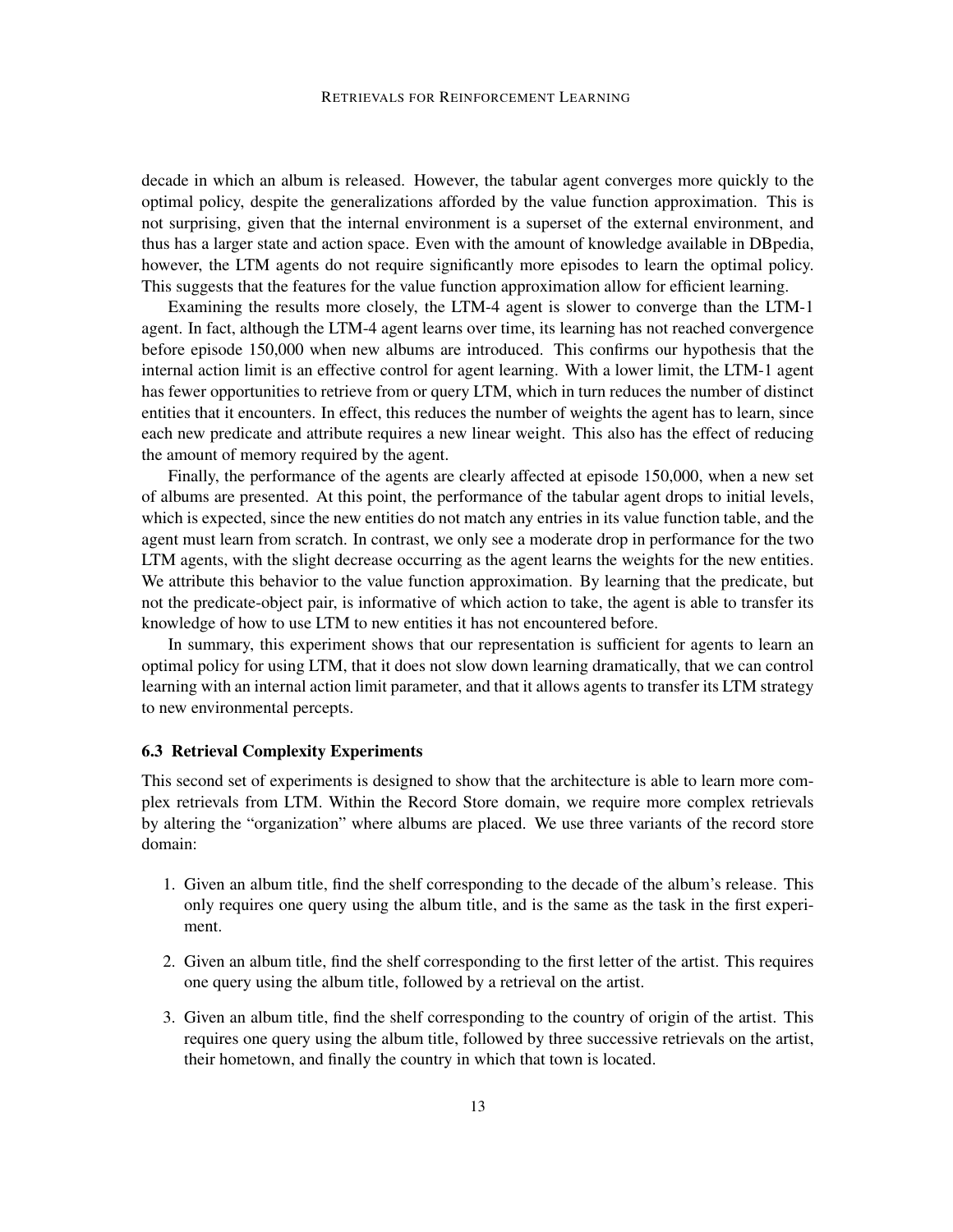#### RETRIEVALS FOR REINFORCEMENT LEARNING

decade in which an album is released. However, the tabular agent converges more quickly to the optimal policy, despite the generalizations afforded by the value function approximation. This is not surprising, given that the internal environment is a superset of the external environment, and thus has a larger state and action space. Even with the amount of knowledge available in DBpedia, however, the LTM agents do not require significantly more episodes to learn the optimal policy. This suggests that the features for the value function approximation allow for efficient learning.

Examining the results more closely, the LTM-4 agent is slower to converge than the LTM-1 agent. In fact, although the LTM-4 agent learns over time, its learning has not reached convergence before episode 150,000 when new albums are introduced. This confirms our hypothesis that the internal action limit is an effective control for agent learning. With a lower limit, the LTM-1 agent has fewer opportunities to retrieve from or query LTM, which in turn reduces the number of distinct entities that it encounters. In effect, this reduces the number of weights the agent has to learn, since each new predicate and attribute requires a new linear weight. This also has the effect of reducing the amount of memory required by the agent.

Finally, the performance of the agents are clearly affected at episode 150,000, when a new set of albums are presented. At this point, the performance of the tabular agent drops to initial levels, which is expected, since the new entities do not match any entries in its value function table, and the agent must learn from scratch. In contrast, we only see a moderate drop in performance for the two LTM agents, with the slight decrease occurring as the agent learns the weights for the new entities. We attribute this behavior to the value function approximation. By learning that the predicate, but not the predicate-object pair, is informative of which action to take, the agent is able to transfer its knowledge of how to use LTM to new entities it has not encountered before.

In summary, this experiment shows that our representation is sufficient for agents to learn an optimal policy for using LTM, that it does not slow down learning dramatically, that we can control learning with an internal action limit parameter, and that it allows agents to transfer its LTM strategy to new environmental percepts.

#### 6.3 Retrieval Complexity Experiments

This second set of experiments is designed to show that the architecture is able to learn more complex retrievals from LTM. Within the Record Store domain, we require more complex retrievals by altering the "organization" where albums are placed. We use three variants of the record store domain:

- 1. Given an album title, find the shelf corresponding to the decade of the album's release. This only requires one query using the album title, and is the same as the task in the first experiment.
- 2. Given an album title, find the shelf corresponding to the first letter of the artist. This requires one query using the album title, followed by a retrieval on the artist.
- 3. Given an album title, find the shelf corresponding to the country of origin of the artist. This requires one query using the album title, followed by three successive retrievals on the artist, their hometown, and finally the country in which that town is located.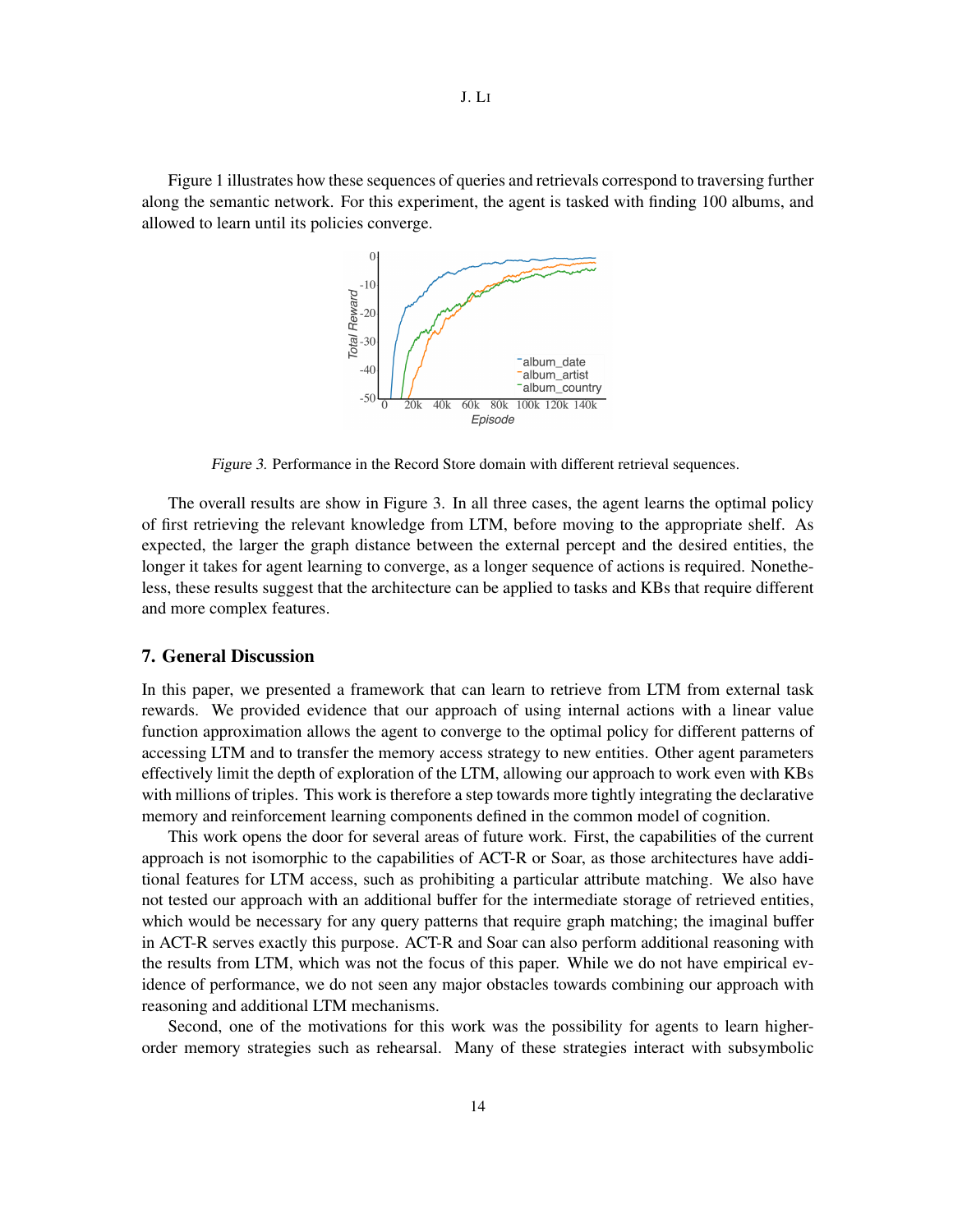Figure 1 illustrates how these sequences of queries and retrievals correspond to traversing further along the semantic network. For this experiment, the agent is tasked with finding 100 albums, and allowed to learn until its policies converge.



Figure 3. Performance in the Record Store domain with different retrieval sequences.

The overall results are show in Figure 3. In all three cases, the agent learns the optimal policy of first retrieving the relevant knowledge from LTM, before moving to the appropriate shelf. As expected, the larger the graph distance between the external percept and the desired entities, the longer it takes for agent learning to converge, as a longer sequence of actions is required. Nonetheless, these results suggest that the architecture can be applied to tasks and KBs that require different and more complex features.

#### 7. General Discussion

In this paper, we presented a framework that can learn to retrieve from LTM from external task rewards. We provided evidence that our approach of using internal actions with a linear value function approximation allows the agent to converge to the optimal policy for different patterns of accessing LTM and to transfer the memory access strategy to new entities. Other agent parameters effectively limit the depth of exploration of the LTM, allowing our approach to work even with KBs with millions of triples. This work is therefore a step towards more tightly integrating the declarative memory and reinforcement learning components defined in the common model of cognition.

This work opens the door for several areas of future work. First, the capabilities of the current approach is not isomorphic to the capabilities of ACT-R or Soar, as those architectures have additional features for LTM access, such as prohibiting a particular attribute matching. We also have not tested our approach with an additional buffer for the intermediate storage of retrieved entities, which would be necessary for any query patterns that require graph matching; the imaginal buffer in ACT-R serves exactly this purpose. ACT-R and Soar can also perform additional reasoning with the results from LTM, which was not the focus of this paper. While we do not have empirical evidence of performance, we do not seen any major obstacles towards combining our approach with reasoning and additional LTM mechanisms.

Second, one of the motivations for this work was the possibility for agents to learn higherorder memory strategies such as rehearsal. Many of these strategies interact with subsymbolic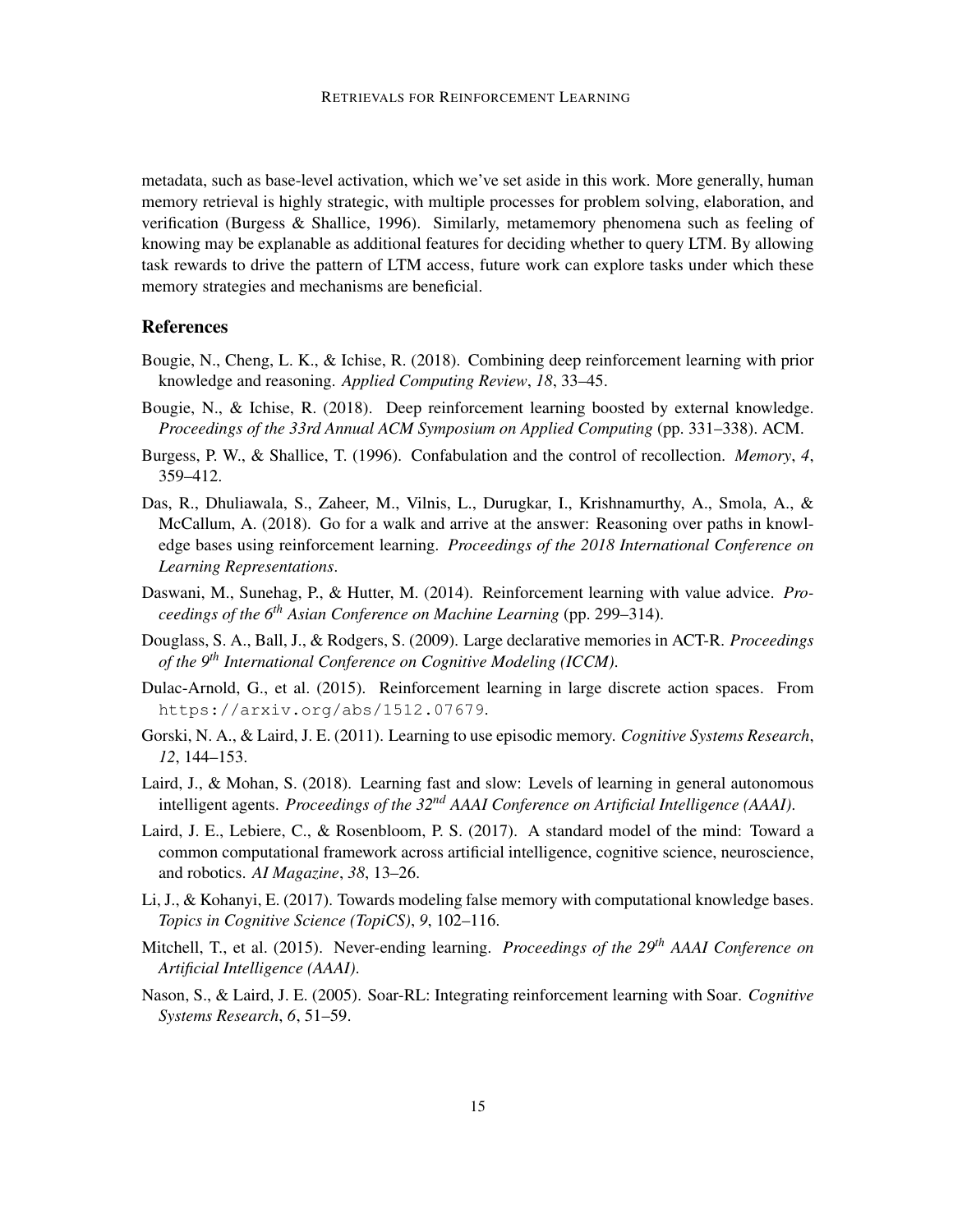metadata, such as base-level activation, which we've set aside in this work. More generally, human memory retrieval is highly strategic, with multiple processes for problem solving, elaboration, and verification (Burgess & Shallice, 1996). Similarly, metamemory phenomena such as feeling of knowing may be explanable as additional features for deciding whether to query LTM. By allowing task rewards to drive the pattern of LTM access, future work can explore tasks under which these memory strategies and mechanisms are beneficial.

#### References

- Bougie, N., Cheng, L. K., & Ichise, R. (2018). Combining deep reinforcement learning with prior knowledge and reasoning. *Applied Computing Review*, *18*, 33–45.
- Bougie, N., & Ichise, R. (2018). Deep reinforcement learning boosted by external knowledge. *Proceedings of the 33rd Annual ACM Symposium on Applied Computing* (pp. 331–338). ACM.
- Burgess, P. W., & Shallice, T. (1996). Confabulation and the control of recollection. *Memory*, *4*, 359–412.
- Das, R., Dhuliawala, S., Zaheer, M., Vilnis, L., Durugkar, I., Krishnamurthy, A., Smola, A., & McCallum, A. (2018). Go for a walk and arrive at the answer: Reasoning over paths in knowledge bases using reinforcement learning. *Proceedings of the 2018 International Conference on Learning Representations*.
- Daswani, M., Sunehag, P., & Hutter, M. (2014). Reinforcement learning with value advice. *Proceedings of the 6th Asian Conference on Machine Learning* (pp. 299–314).
- Douglass, S. A., Ball, J., & Rodgers, S. (2009). Large declarative memories in ACT-R. *Proceedings of the 9th International Conference on Cognitive Modeling (ICCM)*.
- Dulac-Arnold, G., et al. (2015). Reinforcement learning in large discrete action spaces. From https://arxiv.org/abs/1512.07679.
- Gorski, N. A., & Laird, J. E. (2011). Learning to use episodic memory. *Cognitive Systems Research*, *12*, 144–153.
- Laird, J., & Mohan, S. (2018). Learning fast and slow: Levels of learning in general autonomous intelligent agents. *Proceedings of the 32nd AAAI Conference on Artificial Intelligence (AAAI)*.
- Laird, J. E., Lebiere, C., & Rosenbloom, P. S. (2017). A standard model of the mind: Toward a common computational framework across artificial intelligence, cognitive science, neuroscience, and robotics. *AI Magazine*, *38*, 13–26.
- Li, J., & Kohanyi, E. (2017). Towards modeling false memory with computational knowledge bases. *Topics in Cognitive Science (TopiCS)*, *9*, 102–116.
- Mitchell, T., et al. (2015). Never-ending learning. *Proceedings of the 29th AAAI Conference on Artificial Intelligence (AAAI)*.
- Nason, S., & Laird, J. E. (2005). Soar-RL: Integrating reinforcement learning with Soar. *Cognitive Systems Research*, *6*, 51–59.